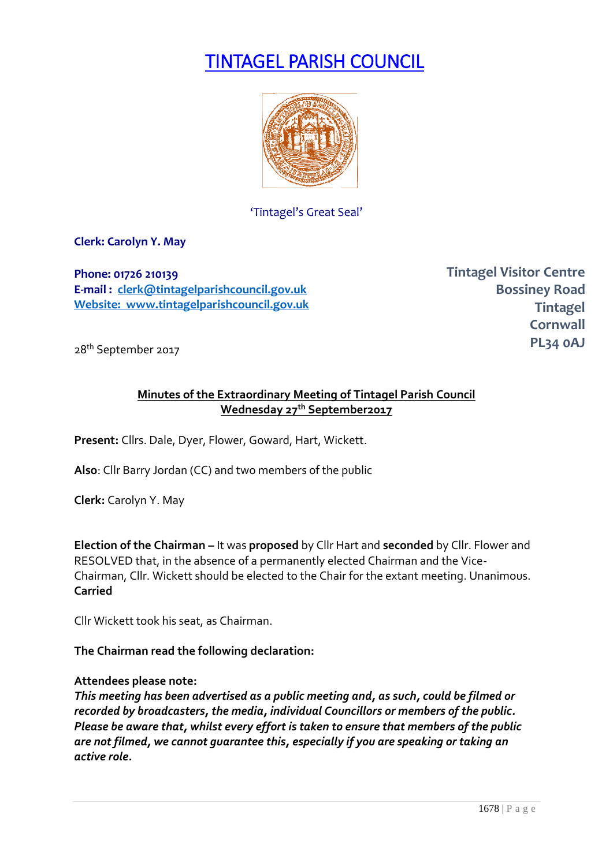# TINTAGEL PARISH COUNCIL



'Tintagel's Great Seal'

**Clerk: Carolyn Y. May**

**Phone: 01726 210139 E-mail : [clerk@tintagelparishcouncil.gov.uk](mailto:clerk@tintagelparishcouncil.gov.uk) Website: www.tintagelparishcouncil.gov.uk** **Tintagel Visitor Centre Bossiney Road Tintagel Cornwall PL34 0AJ**

28th September 2017

# **Minutes of the Extraordinary Meeting of Tintagel Parish Council Wednesday 27th September2017**

**Present:** Cllrs. Dale, Dyer, Flower, Goward, Hart, Wickett.

**Also**: Cllr Barry Jordan (CC) and two members of the public

**Clerk:** Carolyn Y. May

**Election of the Chairman –** It was **proposed** by Cllr Hart and **seconded** by Cllr. Flower and RESOLVED that, in the absence of a permanently elected Chairman and the Vice-Chairman, Cllr. Wickett should be elected to the Chair for the extant meeting. Unanimous. **Carried**

Cllr Wickett took his seat, as Chairman.

**The Chairman read the following declaration:**

## **Attendees please note:**

*This meeting has been advertised as a public meeting and, as such, could be filmed or recorded by broadcasters, the media, individual Councillors or members of the public. Please be aware that, whilst every effort is taken to ensure that members of the public are not filmed, we cannot guarantee this, especially if you are speaking or taking an active role.*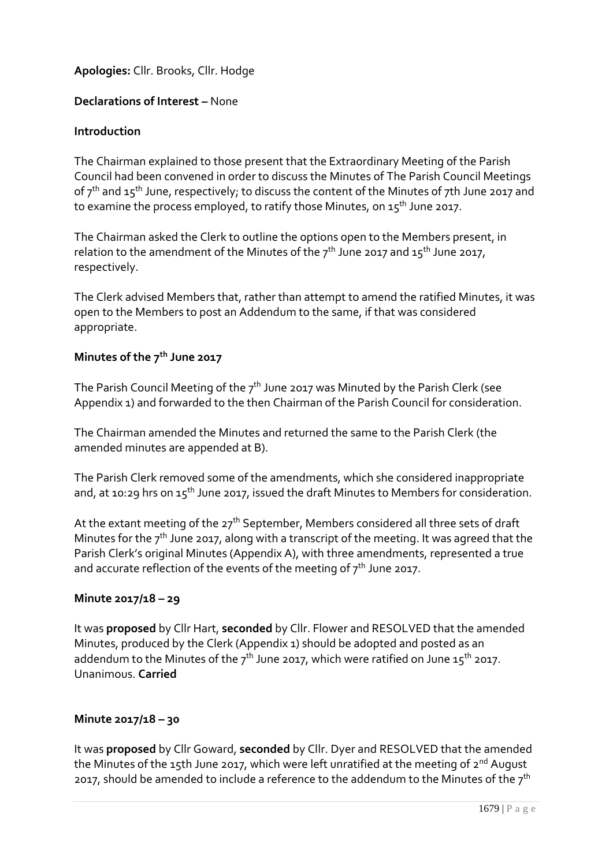# **Apologies:** Cllr. Brooks, Cllr. Hodge

## **Declarations of Interest –** None

#### **Introduction**

The Chairman explained to those present that the Extraordinary Meeting of the Parish Council had been convened in order to discuss the Minutes of The Parish Council Meetings of  $7<sup>th</sup>$  and  $15<sup>th</sup>$  June, respectively; to discuss the content of the Minutes of 7th June 2017 and to examine the process employed, to ratify those Minutes, on  $15^{th}$  June 2017.

The Chairman asked the Clerk to outline the options open to the Members present, in relation to the amendment of the Minutes of the  $7<sup>th</sup>$  June 2017 and 15<sup>th</sup> June 2017, respectively.

The Clerk advised Members that, rather than attempt to amend the ratified Minutes, it was open to the Members to post an Addendum to the same, if that was considered appropriate.

# **Minutes of the 7th June 2017**

The Parish Council Meeting of the  $7<sup>th</sup>$  June 2017 was Minuted by the Parish Clerk (see Appendix 1) and forwarded to the then Chairman of the Parish Council for consideration.

The Chairman amended the Minutes and returned the same to the Parish Clerk (the amended minutes are appended at B).

The Parish Clerk removed some of the amendments, which she considered inappropriate and, at 10:29 hrs on  $15<sup>th</sup>$  June 2017, issued the draft Minutes to Members for consideration.

At the extant meeting of the 27<sup>th</sup> September, Members considered all three sets of draft Minutes for the  $7<sup>th</sup>$  June 2017, along with a transcript of the meeting. It was agreed that the Parish Clerk's original Minutes (Appendix A), with three amendments, represented a true and accurate reflection of the events of the meeting of  $7<sup>th</sup>$  June 2017.

#### **Minute 2017/18 – 29**

It was **proposed** by Cllr Hart, **seconded** by Cllr. Flower and RESOLVED that the amended Minutes, produced by the Clerk (Appendix 1) should be adopted and posted as an addendum to the Minutes of the  $7<sup>th</sup>$  June 2017, which were ratified on June 15<sup>th</sup> 2017. Unanimous. **Carried**

## **Minute 2017/18 – 30**

It was **proposed** by Cllr Goward, **seconded** by Cllr. Dyer and RESOLVED that the amended the Minutes of the 15th June 2017, which were left unratified at the meeting of  $2^{nd}$  August 2017, should be amended to include a reference to the addendum to the Minutes of the  $7<sup>th</sup>$